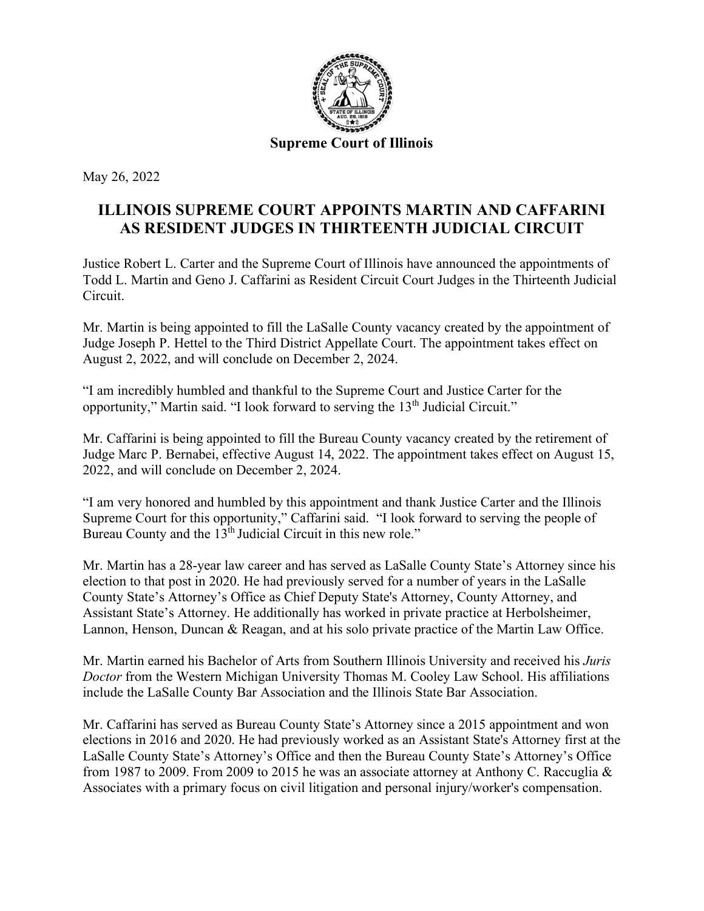

May 26, 2022

## **ILLINOIS SUPREME COURT APPOINTS MARTIN AND CAFFARINI AS RESIDENT JUDGES IN THIRTEENTH JUDICIAL CIRCUIT**

Justice Robert L. Carter and the Supreme Court of Illinois have announced the appointments of Todd L. Martin and Geno J. Caffarini as Resident Circuit Court Judges in the Thirteenth Judicial Circuit.

Mr. Martin is being appointed to fill the LaSalle County vacancy created by the appointment of Judge Joseph P. Hettel to the Third District Appellate Court. The appointment takes effect on August 2, 2022, and will conclude on December 2, 2024.

"I am incredibly humbled and thankful to the Supreme Court and Justice Carter for the opportunity," Martin said. "I look forward to serving the 13<sup>th</sup> Judicial Circuit."

Mr. Caffarini is being appointed to fill the Bureau County vacancy created by the retirement of Judge Marc P. Bernabei, effective August 14, 2022. The appointment takes effect on August 15, 2022, and will conclude on December 2, 2024.

"I am very honored and humbled by this appointment and thank Justice Carter and the Illinois Supreme Court for this opportunity," Caffarini said. "I look forward to serving the people of Bureau County and the 13<sup>th</sup> Judicial Circuit in this new role."

Mr. Martin has a 28-year law career and has served as LaSalle County State's Attorney since his election to that post in 2020. He had previously served for a number of years in the LaSalle County State's Attorney's Office as Chief Deputy State's Attorney, County Attorney, and Assistant State's Attorney. He additionally has worked in private practice at Herbolsheimer, Lannon, Henson, Duncan & Reagan, and at his solo private practice of the Martin Law Office.

Mr. Martin earned his Bachelor of Arts from Southern Illinois University and received his *Juris Doctor* from the Western Michigan University Thomas M. Cooley Law School. His affiliations include the LaSalle County Bar Association and the Illinois State Bar Association.

Mr. Caffarini has served as Bureau County State's Attorney since a 2015 appointment and won elections in 2016 and 2020. He had previously worked as an Assistant State's Attorney first at the LaSalle County State's Attorney's Office and then the Bureau County State's Attorney's Office from 1987 to 2009. From 2009 to 2015 he was an associate attorney at Anthony C. Raccuglia & Associates with a primary focus on civil litigation and personal injury/worker's compensation.